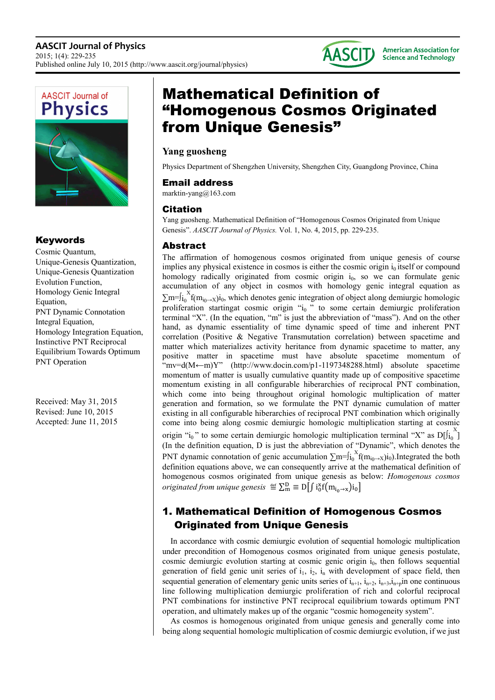





### Keywords

Cosmic Quantum, Unique-Genesis Quantization, Unique-Genesis Quantization Evolution Function, Homology Genic Integral Equation, PNT Dynamic Connotation Integral Equation, Homology Integration Equation, Instinctive PNT Reciprocal Equilibrium Towards Optimum PNT Operation

Received: May 31, 2015 Revised: June 10, 2015 Accepted: June 11, 2015

# Mathematical Definition of "Homogenous Cosmos Originated from Unique Genesis"

### **Yang guosheng**

Physics Department of Shengzhen University, Shengzhen City, Guangdong Province, China

### Email address

marktin-yang@163.com

### Citation

Yang guosheng. Mathematical Definition of "Homogenous Cosmos Originated from Unique Genesis". *AASCIT Journal of Physics.* Vol. 1, No. 4, 2015, pp. 229-235.

### Abstract

The affirmation of homogenous cosmos originated from unique genesis of course implies any physical existence in cosmos is either the cosmic origin  $i_0$  itself or compound homology radically originated from cosmic origin i<sub>0</sub>, so we can formulate genic accumulation of any object in cosmos with homology genic integral equation as  $\sum m = \int_{i_0}^{X} f(m_{i_0 \to X}) i_0$ , which denotes genic integration of object along demiurgic homologic proliferation startingat cosmic origin "i<sub>0</sub>" to some certain demiurgic proliferation terminal "X". (In the equation, "m" is just the abbreviation of "mass"). And on the other hand, as dynamic essentiality of time dynamic speed of time and inherent PNT correlation (Positive & Negative Transmutation correlation) between spacetime and matter which materializes activity heritance from dynamic spacetime to matter, any positive matter in spacetime must have absolute spacetime momentum of "mv=d(M←m)Y" (http://www.docin.com/p1-1197348288.html) absolute spacetime momentum of matter is usually cumulative quantity made up of compositive spacetime momentum existing in all configurable hiberarchies of reciprocal PNT combination, which come into being throughout original homologic multiplication of matter generation and formation, so we formulate the PNT dynamic cumulation of matter existing in all configurable hiberarchies of reciprocal PNT combination which originally come into being along cosmic demiurgic homologic multiplication starting at cosmic origin "i<sub>0</sub>" to some certain demiurgic homologic multiplication terminal "X" as  $D[f_i]$ " (In the definition equation, D is just the abbreviation of "Dynamic", which denotes the PNT dynamic connotation of genic accumulation  $\sum m = \int_{i_0}^{X} f(m_{i_0 \to X}) i_0$ ). Integrated the both definition equations above, we can consequently arrive at the mathematical definition of homogenous cosmos originated from unique genesis as below: *Homogenous cosmos originated from unique genesis*  $\mathcal{L}_m^{\text{def}} \equiv D[f \mathrm{i}_0^{\text{x}} f(m_{i_0 \to x}) i_0]$ 

## 1. Mathematical Definition of Homogenous Cosmos Originated from Unique Genesis

In accordance with cosmic demiurgic evolution of sequential homologic multiplication under precondition of Homogenous cosmos originated from unique genesis postulate, cosmic demiurgic evolution starting at cosmic genic origin  $i<sub>0</sub>$ , then follows sequential generation of field genic unit series of  $i_1$ ,  $i_2$ ,  $i_n$  with development of space field, then sequential generation of elementary genic units series of  $i_{n+1}$ ,  $i_{n+2}$ ,  $i_{n+3}$ ,  $i_{n+1}$  one continuous line following multiplication demiurgic proliferation of rich and colorful reciprocal PNT combinations for instinctive PNT reciprocal equilibrium towards optimum PNT operation, and ultimately makes up of the organic "cosmic homogeneity system".

As cosmos is homogenous originated from unique genesis and generally come into being along sequential homologic multiplication of cosmic demiurgic evolution, if we just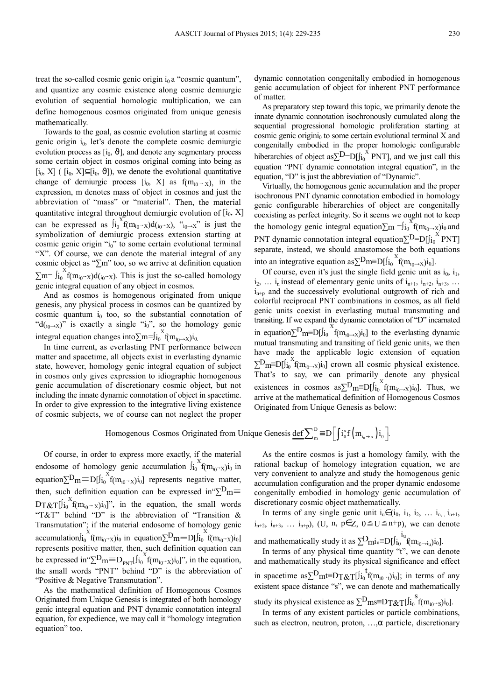treat the so-called cosmic genic origin  $i_0$  a "cosmic quantum", and quantize any cosmic existence along cosmic demiurgic evolution of sequential homologic multiplication, we can define homogenous cosmos originated from unique genesis mathematically.

Towards to the goal, as cosmic evolution starting at cosmic genic origin  $i_0$ , let's denote the complete cosmic demiurgic evolution process as  $[i_0, \vartheta]$ , and denote any segmentary process some certain object in cosmos original coming into being as [i<sub>0</sub>, X] ( [i<sub>0</sub>, X] $\subseteq$ [i<sub>0</sub>,  $\vartheta$ ]), we denote the evolutional quantitative change of demiurgic process  $[i_0, X]$  as  $f(m_{i_0} - x)$ , in the expression, m denotes mass of object in cosmos and just the abbreviation of "mass" or "material". Then, the material quantitative integral throughout demiurgic evolution of  $[i_0, X]$ can be expressed as  $\int_{i_0}^{x} f(m_{i_0-x})d_{i_0-x}$ , " $\int_{i_0-x}^{x}$ " is just the symbolization of demiurgic process extension starting at cosmic genic origin " $i_0$ " to some certain evolutional terminal "X". Of course, we can denote the material integral of any cosmic object as "∑m" too, so we arrive at definition equation  $\sum m = \int_{i_0}^{x} f(m_{i_0-x})d_{(i_0-x)}$ . This is just the so-called homology genic integral equation of any object in cosmos.

And as cosmos is homogenous originated from unique genesis, any physical process in cosmos can be quantized by cosmic quantum  $i_0$  too, so the substantial connotation of "d( $_{i0\rightarrow X}$ )" is exactly a single "i<sub>0</sub>", so the homology genic integral equation changes into $\sum m = \int_{i_0}^{x} f(m_{i_0 \to x}) i_0$ .

In time current, as everlasting PNT performance between matter and spacetime, all objects exist in everlasting dynamic state, however, homology genic integral equation of subject in cosmos only gives expression to idiographic homogenous genic accumulation of discretionary cosmic object, but not including the innate dynamic connotation of object in spacetime. In order to give expression to the integrative living existence of cosmic subjects, we of course can not neglect the proper

dynamic connotation congenitally embodied in homogenous genic accumulation of object for inherent PNT performance of matter.

As preparatory step toward this topic, we primarily denote the innate dynamic connotation isochronously cumulated along the sequential progressional homologic proliferation starting at cosmic genic origini<sub>0</sub> to some certain evolutional terminal  $X$  and congenitally embodied in the proper homologic configurable hiberarchies of object as $\sum D = D[f]_{i0}^{X} PNT]$ , and we just call this equation "PNT dynamic connotation integral equation", in the equation, "D" is just the abbreviation of "Dynamic".

Virtually, the homogenous genic accumulation and the proper isochronous PNT dynamic connotation embodied in homology genic configurable hiberarchies of object are congenitally coexisting as perfect integrity. So it seems we ought not to keep the homology genic integral equation $\sum_{m}$  = $\int_{10}^{X} f(m_{i0\rightarrow X})i_0$  and PNT dynamic connotation integral equation $\Sigma^{D=D[f]_0}$ <sup>^</sup> PNT] separate, instead, we should anastomose the both equations into an integrative equation as  $\sum_{m}D_{m}=D[f]_{i_{0}}^{X}f(m_{i_{0}\rightarrow X})_{i_{0}}].$ 

Of course, even it's just the single field genic unit as  $i_0$ ,  $i_1$ ,  $i_2, \ldots i_n$  instead of elementary genic units of  $i_{n+1}, i_{n+2}, i_{n+3}, \ldots$  $i_{n+p}$  and the successively evolutional outgrowth of rich and colorful reciprocal PNT combinations in cosmos, as all field genic units coexist in everlasting mutual transmuting and transiting. If we expand the dynamic connotation of "D" incarnated in equation $\sum_{m}D_{m}$ = $D[f]_{i_{0}}^{X}f(m_{i_{0}\rightarrow X})i_{0}]$  to the everlasting dynamic mutual transmuting and transiting of field genic units, we then have made the applicable logic extension of equation  $\sum_{m}D_{m}=D[j_{i_{0}}^{X}f(m_{i_{0}\rightarrow X})i_{0}]$  crown all cosmic physical existence. That's to say, we can primarily denote any physical existences in cosmos as $\Sigma^D m \equiv D[f]_{i_0}^{\hat{ }}f(m_{i_0}^{\bar{ }} \rightarrow x) i_0]$ . Thus, we arrive at the mathematical definition of Homogenous Cosmos Originated from Unique Genesis as below:

## Homogenous Cosmos Originated from Unique Genesis  $\underline{\underline{\text{def}}}\sum_{m}^{D} = D\left[\int i_0^x f(m_{i_0 \to x}) i_0\right]$ .

Of course, in order to express more exactly, if the material endosome of homology genic accumulation  $\int_{i_0}^{X} f(m_{i_0-x})i_0$  in equation $\sum_{m}D_{m} \equiv D[f_{i_{0}}^{X}(m_{i_{0}-X})i_{0}]$  represents negative matter, then, such definition equation can be expressed in  $\Sigma^D$ m≡  $DT\&T[j]_{i_0}^{X}f(m_{i_0}-x)i_0]$ ", in the equation, the small words "T&T" behind "D" is the abbreviation of "Transition & Transmutation"; if the material endosome of homology genic  $\text{accumulation} \left\{ \int_{i_0}^{X} f(m_{i_0} - x) i_0 \text{ in equation} \right\} \sum_{m=0}^{N} D_m = D[f]_{i_0}^{X} f(m_{i_0} - x) i_0]$ represents positive matter, then, such definition equation can be expressed in " $\Sigma^D m \equiv D_{PNT} [f_{i0}^{\alpha} f(m_{i0}+x)i_0]^{\gamma}$ , in the equation, the small words "PNT" behind "D" is the abbreviation of "Positive & Negative Transmutation".

As the mathematical definition of Homogenous Cosmos Originated from Unique Genesis is integrated of both homology genic integral equation and PNT dynamic connotation integral equation, for expedience, we may call it "homology integration equation" too.

As the entire cosmos is just a homology family, with the rational backup of homology integration equation, we are very convenient to analyze and study the homogenous genic accumulation configuration and the proper dynamic endosome congenitally embodied in homology genic accumulation of discretionary cosmic object mathematically.

In terms of any single genic unit  $i_u \in (i_0, i_1, i_2, \ldots i_{n,1}, i_{n+1},$  $i_{n+2}$ ,  $i_{n+3}$ , ...  $i_{n+p}$ ), (U, n, p∈Z, 0 ≤ U ≤ n+p), we can denote

and mathematically study it as  $\sum_{l}^{D}$  $\sum_{u}^{D}$  $\left[ \sum_{l}^{i}$  $f(m_{i_0\rightarrow i_0})i_0$ ].

In terms of any physical time quantity "t", we can denote and mathematically study its physical significance and effect in spacetime as $\Sigma^{\text{D}}$ mt≡DT $\&$ T[∫i<sub>0</sub><sup>t</sup>f(m<sub>i0</sub>→t)i<sub>0</sub>]; in terms of any existent space distance "s", we can denote and mathematically study its physical existence as  $\Sigma^D$ ms≡DT&T[ $f_{i_0}^{S}f(m_{i_0-S})i_0$ ].

In terms of any existent particles or particle combinations, such as electron, neutron, proton, ...,α particle, discretionary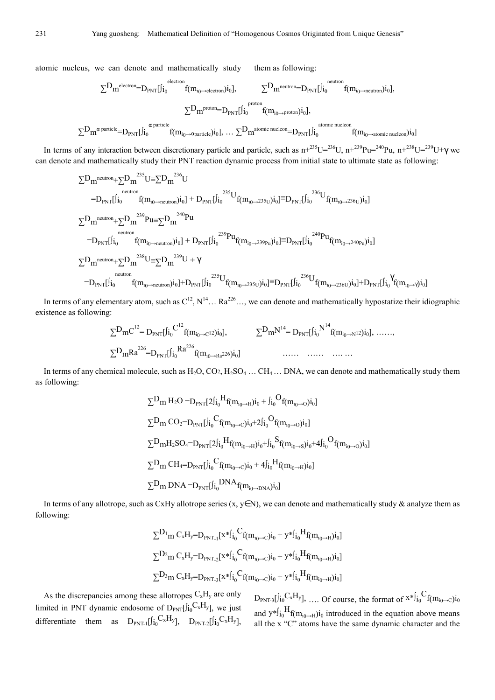atomic nucleus, we can denote and mathematically study them as following:

$$
\begin{array}{ccc}\sum D_{m}^{\text{electron}}= &D_{\text{PNT}}[j_{i_{0}}^{\text{electron}}+&\sum D_{m}^{\text{neutron}}= &D_{\text{PNT}}[j_{i_{0}}^{\text{neutron}}+&\sum D_{m}^{\text{neutron}}\\&\sum D_{m}^{\text{proton}}= &D_{\text{PNT}}[j_{i_{0}}^{\text{proton}}+&\sum D_{m}^{\text{proton}}+&\sum D_{m}^{\text{proton}}+&\sum D_{m}^{\text{proton}}\\&\sum D_{m}^{\text{proton}}= &D_{\text{PNT}}[j_{i_{0}}^{\text{proton}}+&\sum D_{m}^{\text{one into nucleon}}+&\sum D_{m}^{\text{one nucleon}}+&\sum D_{m}^{\text{one in nucleon}}\\&\sum D_{m}^{\text{on}}&\sum D_{m}^{\text{one inucleon}}+&\sum D_{m}^{\text{one inucleon}}+&\sum D_{m}^{\text{one inucleon}}+&\sum D_{m}^{\text{one inucleon}}+&\sum D_{m}^{\text{one inucleon}}+&\sum D_{m}^{\text{one inucleon}}+&\sum D_{m}^{\text{one inucleon}}+&\sum D_{m}^{\text{one inucleon}}+&\sum D_{m}^{\text{one inucleon}}+&\sum D_{m}^{\text{one inucleon}}+&\sum D_{m}^{\text{one in decon}}+&\sum D_{m}^{\text{one in decon}}+&\sum D_{m}^{\text{one in decon}}+&\sum D_{m}^{\text{one in decon}}+&\sum D_{m}^{\text{one in decon}}+&\sum D_{m}^{\text{one in decon}}+&\sum D_{m}^{\text{one in decon}}+&\sum D_{m}^{\text{one in decon}}+&\sum D_{m}^{\text{one in decon}}+&\sum D_{m}^{\text{one in decon}}+&\sum D_{m}^{\text{one in decon}}+&\sum D_{m}^{\text{one in decon}}+&\sum D_{m}^{\text{one in decon}}+&\sum D_{m}^{\text{one in decon}}+&\sum D_{m}^{\text{one in decon}}+&\sum D_{m}^{\text{one in decon}}+&\sum D_{m}^{\text{one in decon}}+&\sum D_{m}^{\text{one in decon}}+&\
$$

In terms of any interaction between discretionary particle and particle, such as  $n+^{235}U=^{236}U$ ,  $n+^{239}Pu=^{240}Pu$ ,  $n+^{238}U=^{239}U+\gamma$  we can denote and mathematically study their PNT reaction dynamic process from initial state to ultimate state as following:

$$
\begin{aligned} & \sum D_m{}^{neutron} + \sum D_m{}^{235} U \equiv \sum D_m{}^{236} U \\ & = D_{PNT} [j_{i_0}{}^{neutron} f(m_{i_0 \to neutron})i_0] + D_{PNT} [j_{i_0}{}^{235} U_{f(m_{i_0 \to 235U})}i_0] \equiv D_{PNT} [j_{i_0}{}^{236} U_{f(m_{i_0 \to 236U})}i_0] \\ & \sum D_m{}^{neutron} + \sum D_m{}^{239} P u \equiv \sum D_m{}^{240} P u \\ & = D_{PNT} [j_{i_0}{}^{neutron} + \sum D_m{}^{238} U \equiv \sum D_m{}^{240} U + \gamma \\ & = D_{PNT} [j_{i_0}{}^{238} U \equiv \sum D_m{}^{239} U + \gamma \\ & = D_{PNT} [j_{i_0}{}^{neutron} f(m_{i_0 \to neutron})i_0] + D_{PNT} [j_{i_0}{}^{235} U_{f(m_{i_0 \to 235U})}i_0] \equiv D_{PNT} [j_{i_0}{}^{236} U_{f(m_{i_0 \to 236U})}i_0] + D_{PNT} [j_{i_0}{}^{236} U_{f(m_{i_0 \to 236U})}i_0] \end{aligned}
$$

In terms of any elementary atom, such as  $C^{12}$ ,  $N^{14}$ ... Ra<sup>226</sup>..., we can denote and mathematically hypostatize their idiographic existence as following:

$$
\begin{aligned} \Sigma^{D}mC^{^{12}}&=D_{PNT}[j_{i_0}C^{^{12}}f(m_{i_0\rightarrow c^{12}})i_0],\qquad\qquad \Sigma^{D}m^{N^{14}}&=D_{PNT}[j_{i_0}^{N^{14}}f(m_{i_0\rightarrow N^{12}})i_0],\ \ldots\ldots\cr\sum^{D}mRa^{^{226}}&=D_{PNT}[j_{i_0}^{N^{24}}f(m_{i_0\rightarrow Ra^{226}})i_0] \end{aligned}
$$

In terms of any chemical molecule, such as  $H_2O$ ,  $CO_2$ ,  $H_2SO_4$  ...  $CH_4$  ... DNA, we can denote and mathematically study them as following:

$$
\begin{aligned} &\textstyle \sum D_m \, H_2O = & D_{\text{PNT}}[2j_{i_0}H_{f(m_{i_0\rightarrow H})i_0} + j_{i_0}O_{f(m_{i_0\rightarrow O})i_0}] \\ &\textstyle \sum D_m \, CO_2 = & D_{\text{PNT}}[j_{i_0}C_{f(m_{i_0\rightarrow C})i_0} + 2j_{i_0}O_{f(m_{i_0\rightarrow O})i_0}] \\ &\textstyle \sum D_m H_2SO_4 = & D_{\text{PNT}}[2j_{i_0}H_{f(m_{i_0\rightarrow H})i_0} + j_{i_0}S_{f(m_{i_0\rightarrow S})i_0} + 4j_{i_0}O_{f(m_{i_0\rightarrow O})i_0}] \\ &\textstyle \sum D_m \, CH_4 = & D_{\text{PNT}}[j_{i_0}C_{f(m_{i_0\rightarrow C})i_0} + 4j_{i_0}H_{f(m_{i_0\rightarrow H})i_0}] \\ &\textstyle \sum D_m \, DNA = & D_{\text{PNT}}[j_{i_0}DNA_{f(m_{i_0\rightarrow DNA})i_0}] \end{aligned}
$$

In terms of any allotrope, such as CxHy allotrope series  $(x, y \in N)$ , we can denote and mathematically study & analyze them as following:

$$
\begin{aligned} & \textstyle \sum D_1}_m \, C_x H_y = D_{PNT.1} [x * f_{i_0}^{\phantom i} C_f(m_{i_0 \to C}) i_0 + y * f_{i_0}^{\phantom i} H_f(m_{i_0 \to H}) i_0] \\ & \textstyle \sum D_2_m \, C_x H_y = D_{PNT.2} [x * f_{i_0}^{\phantom i} C_f(m_{i_0 \to C}) i_0 + y * f_{i_0}^{\phantom i} H_f(m_{i_0 \to H}) i_0] \\ & \textstyle \sum D_3_m \, C_x H_y = D_{PNT.3} [x * f_{i_0}^{\phantom i} C_f(m_{i_0 \to C}) i_0 + y * f_{i_0}^{\phantom i} H_f(m_{i_0 \to H}) i_0] \end{aligned}
$$

As the discrepancies among these allotropes  $C_xH_y$  are only limited in PNT dynamic endosome of  $D_{PNT}[f_{i_0}C_xH_y]$ , we just differentiate them as  $D_{PNT-1}[\int_{i_0}^{i_0}C_xH_y]$ ,  $D_{PNT-2}[\int_{i_0}^{i_0}C_xH_y]$ ,  $D_{\text{PNT-3}}[j_0C_xH_y]$ , .... Of course, the format of  $x^{*j}j_0^Cf(m_{i_0\rightarrow c})j_0$ and  $y * f_i^H f(m_{i_0 \to H})i_0$  introduced in the equation above means all the x "C" atoms have the same dynamic character and the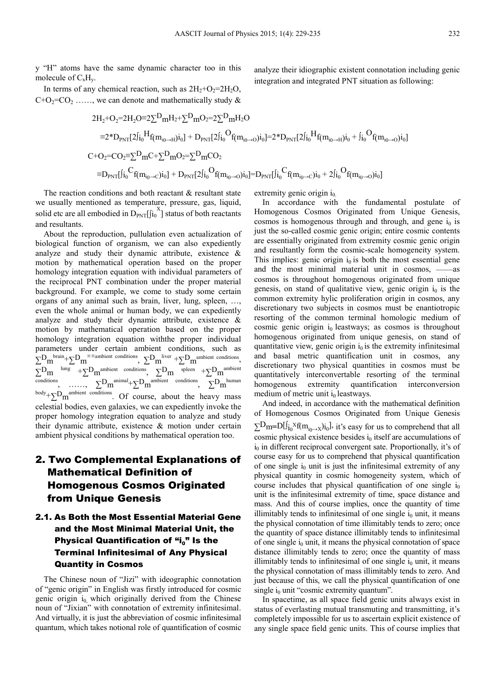y "H" atoms have the same dynamic character too in this molecule of  $C_xH_y$ .

In terms of any chemical reaction, such as  $2H_2+O_2=2H_2O$ ,  $C+O_2=CO_2$  ....., we can denote and mathematically study &

$$
\begin{aligned} 2H_2 + O_2 &= 2H_2O \equiv 2\sum D_m H_2 + \sum D_m O_2 = 2\sum D_m H_2O \\ &= 2^*D_{PNT}[2j_{i_0}^{\phantom i}H_{f(m_{i_0 \to H})i_0}] + D_{PNT}[2j_{i_0}^{\phantom i}O_{f(m_{i_0 \to O})i_0}] = 2^*D_{PNT}[2j_{i_0}^{\phantom i}H_{f(m_{i_0 \to H})i_0} + j_{i_0}^{\phantom i}O_{f(m_{i_0 \to O})i_0}] \\ C + O_2 &= C O_2 \equiv \sum D_m C + \sum D_m O_2 = \sum D_m CO_2 \\ &= D_{PNT}[j_{i_0}^{\phantom i}C_{f(m_{i_0 \to C})i_0}] + D_{PNT}[2j_{i_0}^{\phantom i}O_{f(m_{i_0 \to O})i_0}] = D_{PNT}[j_{i_0}^{\phantom i}C_{f(m_{i_0 \to C})i_0} + 2j_{i_0}^{\phantom i}O_{f(m_{i_0 \to O})i_0}] \end{aligned}
$$

The reaction conditions and both reactant & resultant state we usually mentioned as temperature, pressure, gas, liquid, solid etc are all embodied in  $D_{PNT}[\int_{i_0}^{X}]$  status of both reactants and resultants.

About the reproduction, pullulation even actualization of biological function of organism, we can also expediently analyze and study their dynamic attribute, existence & motion by mathematical operation based on the proper homology integration equation with individual parameters of the reciprocal PNT combination under the proper material background. For example, we come to study some certain organs of any animal such as brain, liver, lung, spleen, …, even the whole animal or human body, we can expediently analyze and study their dynamic attribute, existence & motion by mathematical operation based on the proper homology integration equation withthe proper individual parameters under certain ambient conditions, such as  $\Sigma^{\text{D}}$ m<sup>brain</sup>+ $\Sigma^{\text{D}}$ m<sup>\*\*\*ambient conditions</sup>,  $\Sigma^{\text{D}}$ m<sup>liver</sup> + $\Sigma^{\text{D}}$ m<sup>ambient conditions</sup>,  $\Sigma^D$ m <sup>lung</sup> + $\Sigma^D$ m<sup>ambient</sup> conditions,  $\Sigma^D$ m <sup>spleen</sup> + $\Sigma^D$ m<sup>ambient</sup> conditions, ……,  $\Sigma^D m^{animal} + \Sigma^D m^{anbient}$  conditions,  $\Sigma^D m^{human}$  $\text{body}+\sum D_m$ <sup>ambient conditions</sup>. Of course, about the heavy mass celestial bodies, even galaxies, we can expediently invoke the proper homology integration equation to analyze and study their dynamic attribute, existence & motion under certain ambient physical conditions by mathematical operation too.

## 2. Two Complemental Explanations of Mathematical Definition of Homogenous Cosmos Originated from Unique Genesis

### 2.1. As Both the Most Essential Material Gene and the Most Minimal Material Unit, the Physical Quantification of "i<sub>0</sub>" Is the Terminal Infinitesimal of Any Physical Quantity in Cosmos

The Chinese noun of "Jizi" with ideographic connotation of "genic origin" in English was firstly introduced for cosmic genic origin  $i_0$  which originally derived from the Chinese noun of "Jixian" with connotation of extremity infinitesimal. And virtually, it is just the abbreviation of cosmic infinitesimal quantum, which takes notional role of quantification of cosmic extremity genic origin  $i_0$ .

In accordance with the fundamental postulate of Homogenous Cosmos Originated from Unique Genesis, cosmos is homogenous through and through, and gene  $i_0$  is just the so-called cosmic genic origin; entire cosmic contents are essentially originated from extremity cosmic genic origin and resultantly form the cosmic-scale homogeneity system. This implies: genic origin  $i_0$  is both the most essential gene and the most minimal material unit in cosmos, ——as cosmos is throughout homogenous originated from unique genesis, on stand of qualitative view, genic origin  $i_0$  is the common extremity hylic proliferation origin in cosmos, any discretionary two subjects in cosmos must be enantiotropic resorting of the common terminal homologic medium of cosmic genic origin  $i_0$  leastways; as cosmos is throughout homogenous originated from unique genesis, on stand of quantitative view, genic origin  $i_0$  is the extremity infinitesimal and basal metric quantification unit in cosmos, any discretionary two physical quantities in cosmos must be quantitatively interconvertable resorting of the terminal homogenous extremity quantification interconversion medium of metric unit  $i_0$  leastways.

analyze their idiographic existent connotation including genic

integration and integrated PNT situation as following:

And indeed, in accordance with the mathematical definition of Homogenous Cosmos Originated from Unique Genesis  $\sum_{i}D_{m}=D[\int_{i_{0}}x_{f}(m_{i_{0}\rightarrow x})i_{0}]$ , it's easy for us to comprehend that all cosmic physical existence besides  $i_0$  itself are accumulations of  $i<sub>0</sub>$  in different reciprocal convergent sate. Proportionally, it's of course easy for us to comprehend that physical quantification of one single  $i_0$  unit is just the infinitesimal extremity of any physical quantity in cosmic homogeneity system, which of course includes that physical quantification of one single  $i_0$ unit is the infinitesimal extremity of time, space distance and mass. And this of course implies, once the quantity of time illimitably tends to infinitesimal of one single  $i_0$  unit, it means the physical connotation of time illimitably tends to zero; once the quantity of space distance illimitably tends to infinitesimal of one single  $i_0$  unit, it means the physical connotation of space distance illimitably tends to zero; once the quantity of mass illimitably tends to infinitesimal of one single  $i_0$  unit, it means the physical connotation of mass illimitably tends to zero. And just because of this, we call the physical quantification of one single  $i_0$  unit "cosmic extremity quantum".

In spacetime, as all space field genic units always exist in status of everlasting mutual transmuting and transmitting, it's completely impossible for us to ascertain explicit existence of any single space field genic units. This of course implies that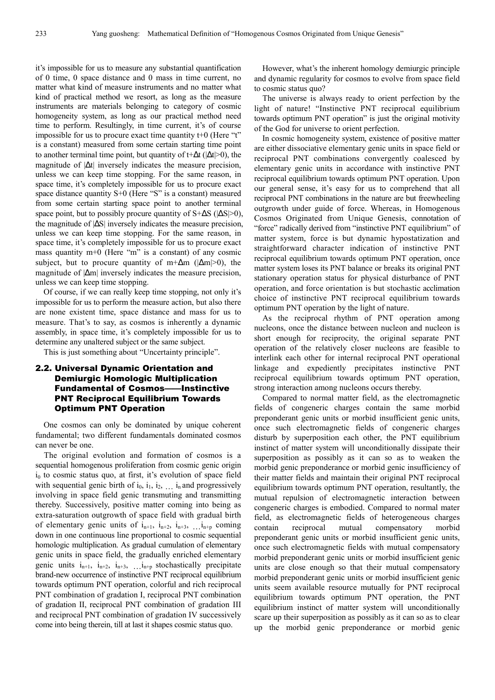it's impossible for us to measure any substantial quantification of 0 time, 0 space distance and 0 mass in time current, no matter what kind of measure instruments and no matter what kind of practical method we resort, as long as the measure instruments are materials belonging to category of cosmic homogeneity system, as long as our practical method need time to perform. Resultingly, in time current, it's of course impossible for us to procure exact time quantity t+0 (Here "t" is a constant) measured from some certain starting time point to another terminal time point, but quantity of t+∆t (|∆t|>0), the magnitude of |∆t| inversely indicates the measure precision, unless we can keep time stopping. For the same reason, in space time, it's completely impossible for us to procure exact space distance quantity S+0 (Here "S" is a constant) measured from some certain starting space point to another terminal space point, but to possibly procure quantity of S+ $\Delta S$  ( $|\Delta S|$ >0), the magnitude of |∆S| inversely indicates the measure precision, unless we can keep time stopping. For the same reason, in space time, it's completely impossible for us to procure exact mass quantity m+0 (Here "m" is a constant) of any cosmic subject, but to procure quantity of m+ $\Delta$ m ( $|\Delta m|$ >0), the magnitude of |∆m| inversely indicates the measure precision, unless we can keep time stopping.

Of course, if we can really keep time stopping, not only it's impossible for us to perform the measure action, but also there are none existent time, space distance and mass for us to measure. That's to say, as cosmos is inherently a dynamic assembly, in space time, it's completely impossible for us to determine any unaltered subject or the same subject.

This is just something about "Uncertainty principle".

### 2.2. Universal Dynamic Orientation and Demiurgic Homologic Multiplication Fundamental of Cosmos——Instinctive PNT Reciprocal Equilibrium Towards Optimum PNT Operation

One cosmos can only be dominated by unique coherent fundamental; two different fundamentals dominated cosmos can never be one.

The original evolution and formation of cosmos is a sequential homogenous proliferation from cosmic genic origin  $i<sub>0</sub>$  to cosmic status quo, at first, it's evolution of space field with sequential genic birth of  $i_0$ ,  $i_1$ ,  $i_2$ ,  $\ldots$   $i_n$  and progressively involving in space field genic transmuting and transmitting thereby. Successively, positive matter coming into being as extra-saturation outgrowth of space field with gradual birth of elementary genic units of  $i_{n+1}$ ,  $i_{n+2}$ ,  $i_{n+3}$ , ...  $i_{n+p}$  coming down in one continuous line proportional to cosmic sequential homologic multiplication. As gradual cumulation of elementary genic units in space field, the gradually enriched elementary genic units  $i_{n+1}$ ,  $i_{n+2}$ ,  $i_{n+3}$ ,  $\ldots$ ,  $i_{n+p}$  stochastically precipitate brand-new occurrence of instinctive PNT reciprocal equilibrium towards optimum PNT operation, colorful and rich reciprocal PNT combination of gradation I, reciprocal PNT combination of gradation II, reciprocal PNT combination of gradation III and reciprocal PNT combination of gradation IV successively come into being therein, till at last it shapes cosmic status quo.

However, what's the inherent homology demiurgic principle and dynamic regularity for cosmos to evolve from space field to cosmic status quo?

The universe is always ready to orient perfection by the light of nature! "Instinctive PNT reciprocal equilibrium towards optimum PNT operation" is just the original motivity of the God for universe to orient perfection.

In cosmic homogeneity system, existence of positive matter are either dissociative elementary genic units in space field or reciprocal PNT combinations convergently coalesced by elementary genic units in accordance with instinctive PNT reciprocal equilibrium towards optimum PNT operation. Upon our general sense, it's easy for us to comprehend that all reciprocal PNT combinations in the nature are but freewheeling outgrowth under guide of force. Whereas, in Homogenous Cosmos Originated from Unique Genesis, connotation of "force" radically derived from "instinctive PNT equilibrium" of matter system, force is but dynamic hypostatization and straightforward character indication of instinctive PNT reciprocal equilibrium towards optimum PNT operation, once matter system loses its PNT balance or breaks its original PNT stationary operation status for physical disturbance of PNT operation, and force orientation is but stochastic acclimation choice of instinctive PNT reciprocal equilibrium towards optimum PNT operation by the light of nature.

As the reciprocal rhythm of PNT operation among nucleons, once the distance between nucleon and nucleon is short enough for reciprocity, the original separate PNT operation of the relatively closer nucleons are feasible to interlink each other for internal reciprocal PNT operational linkage and expediently precipitates instinctive PNT reciprocal equilibrium towards optimum PNT operation, strong interaction among nucleons occurs thereby.

Compared to normal matter field, as the electromagnetic fields of congeneric charges contain the same morbid preponderant genic units or morbid insufficient genic units, once such electromagnetic fields of congeneric charges disturb by superposition each other, the PNT equilibrium instinct of matter system will unconditionally dissipate their superposition as possibly as it can so as to weaken the morbid genic preponderance or morbid genic insufficiency of their matter fields and maintain their original PNT reciprocal equilibrium towards optimum PNT operation, resultantly, the mutual repulsion of electromagnetic interaction between congeneric charges is embodied. Compared to normal mater field, as electromagnetic fields of heterogeneous charges contain reciprocal mutual compensatory morbid preponderant genic units or morbid insufficient genic units, once such electromagnetic fields with mutual compensatory morbid preponderant genic units or morbid insufficient genic units are close enough so that their mutual compensatory morbid preponderant genic units or morbid insufficient genic units seem available resource mutually for PNT reciprocal equilibrium towards optimum PNT operation, the PNT equilibrium instinct of matter system will unconditionally scare up their superposition as possibly as it can so as to clear up the morbid genic preponderance or morbid genic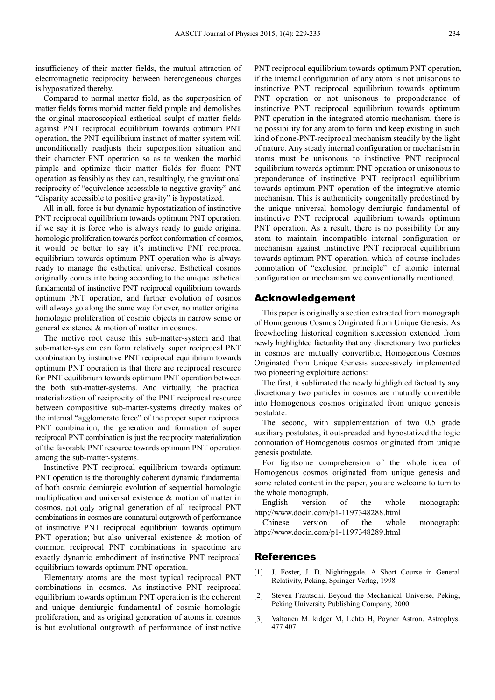insufficiency of their matter fields, the mutual attraction of electromagnetic reciprocity between heterogeneous charges is hypostatized thereby.

Compared to normal matter field, as the superposition of matter fields forms morbid matter field pimple and demolishes the original macroscopical esthetical sculpt of matter fields against PNT reciprocal equilibrium towards optimum PNT operation, the PNT equilibrium instinct of matter system will unconditionally readjusts their superposition situation and their character PNT operation so as to weaken the morbid pimple and optimize their matter fields for fluent PNT operation as feasibly as they can, resultingly, the gravitational reciprocity of "equivalence accessible to negative gravity" and "disparity accessible to positive gravity" is hypostatized.

All in all, force is but dynamic hypostatization of instinctive PNT reciprocal equilibrium towards optimum PNT operation, if we say it is force who is always ready to guide original homologic proliferation towards perfect conformation of cosmos, it would be better to say it's instinctive PNT reciprocal equilibrium towards optimum PNT operation who is always ready to manage the esthetical universe. Esthetical cosmos originally comes into being according to the unique esthetical fundamental of instinctive PNT reciprocal equilibrium towards optimum PNT operation, and further evolution of cosmos will always go along the same way for ever, no matter original homologic proliferation of cosmic objects in narrow sense or general existence & motion of matter in cosmos.

The motive root cause this sub-matter-system and that sub-matter-system can form relatively super reciprocal PNT combination by instinctive PNT reciprocal equilibrium towards optimum PNT operation is that there are reciprocal resource for PNT equilibrium towards optimum PNT operation between the both sub-matter-systems. And virtually, the practical materialization of reciprocity of the PNT reciprocal resource between compositive sub-matter-systems directly makes of the internal "agglomerate force" of the proper super reciprocal PNT combination, the generation and formation of super reciprocal PNT combination is just the reciprocity materialization of the favorable PNT resource towards optimum PNT operation among the sub-matter-systems.

Instinctive PNT reciprocal equilibrium towards optimum PNT operation is the thoroughly coherent dynamic fundamental of both cosmic demiurgic evolution of sequential homologic multiplication and universal existence & motion of matter in cosmos, not only original generation of all reciprocal PNT combinations in cosmos are connatural outgrowth of performance of instinctive PNT reciprocal equilibrium towards optimum PNT operation; but also universal existence & motion of common reciprocal PNT combinations in spacetime are exactly dynamic embodiment of instinctive PNT reciprocal equilibrium towards optimum PNT operation.

Elementary atoms are the most typical reciprocal PNT combinations in cosmos. As instinctive PNT reciprocal equilibrium towards optimum PNT operation is the coherent and unique demiurgic fundamental of cosmic homologic proliferation, and as original generation of atoms in cosmos is but evolutional outgrowth of performance of instinctive

PNT reciprocal equilibrium towards optimum PNT operation, if the internal configuration of any atom is not unisonous to instinctive PNT reciprocal equilibrium towards optimum PNT operation or not unisonous to preponderance of instinctive PNT reciprocal equilibrium towards optimum PNT operation in the integrated atomic mechanism, there is no possibility for any atom to form and keep existing in such kind of none-PNT-reciprocal mechanism steadily by the light of nature. Any steady internal configuration or mechanism in atoms must be unisonous to instinctive PNT reciprocal equilibrium towards optimum PNT operation or unisonous to preponderance of instinctive PNT reciprocal equilibrium towards optimum PNT operation of the integrative atomic mechanism. This is authenticity congenitally predestined by the unique universal homology demiurgic fundamental of instinctive PNT reciprocal equilibrium towards optimum PNT operation. As a result, there is no possibility for any atom to maintain incompatible internal configuration or mechanism against instinctive PNT reciprocal equilibrium towards optimum PNT operation, which of course includes connotation of "exclusion principle" of atomic internal configuration or mechanism we conventionally mentioned.

### Acknowledgement

This paper is originally a section extracted from monograph of Homogenous Cosmos Originated from Unique Genesis. As freewheeling historical cognition succession extended from newly highlighted factuality that any discretionary two particles in cosmos are mutually convertible, Homogenous Cosmos Originated from Unique Genesis successively implemented two pioneering exploiture actions:

The first, it sublimated the newly highlighted factuality any discretionary two particles in cosmos are mutually convertible into Homogenous cosmos originated from unique genesis postulate.

The second, with supplementation of two 0.5 grade auxiliary postulates, it outspreaded and hypostatized the logic connotation of Homogenous cosmos originated from unique genesis postulate.

For lightsome comprehension of the whole idea of Homogenous cosmos originated from unique genesis and some related content in the paper, you are welcome to turn to the whole monograph.

English version of the whole monograph: http://www.docin.com/p1-1197348288.html

Chinese version of the whole monograph: http://www.docin.com/p1-1197348289.html

#### References

- [1] J. Foster, J. D. Nightinggale. A Short Course in General Relativity, Peking, Springer-Verlag, 1998
- [2] Steven Frautschi. Beyond the Mechanical Universe, Peking, Peking University Publishing Company, 2000
- [3] Valtonen M. kidger M, Lehto H, Poyner Astron. Astrophys. 477 407